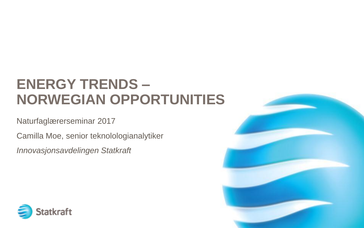# **ENERGY TRENDS – NORWEGIAN OPPORTUNITIES**

#### Naturfaglærerseminar 2017

Camilla Moe, senior teknolologianalytiker

*Innovasjonsavdelingen Statkraft*



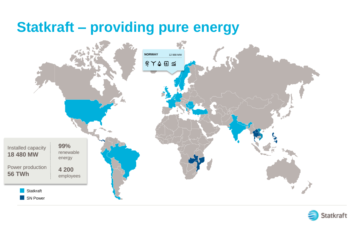# **Statkraft – providing pure energy**



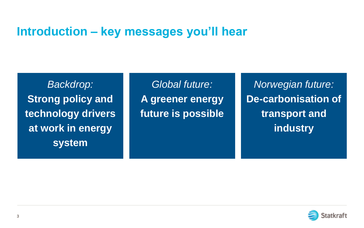#### **Introduction – key messages you'll hear**

*Backdrop:*  **Strong policy and technology drivers at work in energy system** 

*Global future:*  **A greener energy future is possible**

*Norwegian future:*  **De-carbonisation of transport and industry**

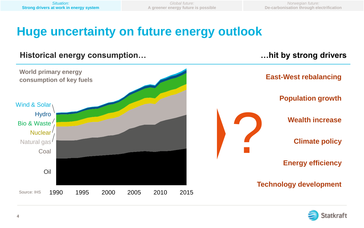*Norwegian future:*  **De-carbonisation through electrification**

# **Huge uncertainty on future energy outlook**

#### **Historical energy consumption…**

#### **…hit by strong drivers**



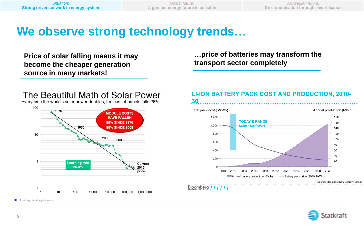*Norwegian future:*  **De-carbonisation through electrification**

# **We observe strong technology trends…**

**Price of solar falling means it may become the cheaper generation source in many markets!**

#### **…price of batteries may transform the transport sector completely**



#### **LI-ION BATTERY PACK COST AND PRODUCTION, 2010-**



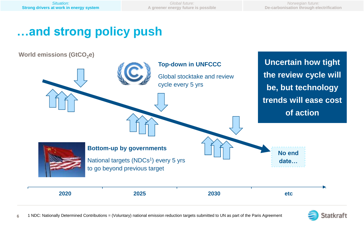*Norwegian future:*  **De-carbonisation through electrification**

# **…and strong policy push**

**World emissions (GtCO<sub>2</sub>e)** 



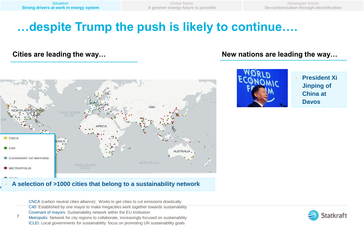*Norwegian future:*  **De-carbonisation through electrification**

# **…despite Trump the push is likely to continue….**



#### • **A selection of >1000 cities that belong to a sustainability network**

CNCA (carbon neutral cities alliance): Works to get cities to cut emissions drastically.

C40: Established by one mayor to make megacities work together towards sustainability Covenant of mayors: Sustainability network within the EU institution

**7** Metropolis: Network for city regions to collaborate, increasingly focused on sustainability ICLEI: Local governments for sustainability: focus on promoting UN sustainability goals

#### Cities are leading the way... **New nations are leading the way...** New nations are leading the way...



• **President Xi Jinping of China at Davos**

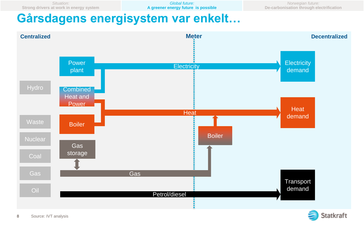### **Gårsdagens energisystem var enkelt…**



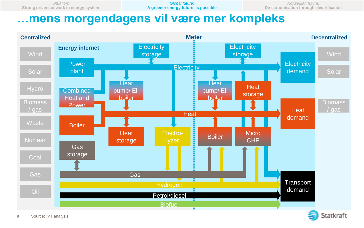#### **…mens morgendagens vil være mer kompleks**



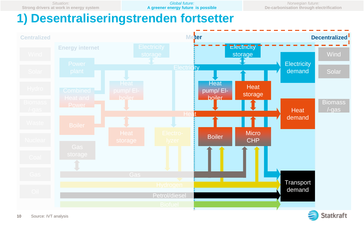*Global future:*  **A greener energy future is possible**

*Norwegian future:*  **De-carbonisation through electrification**

### **1) Desentraliseringstrenden fortsetter**

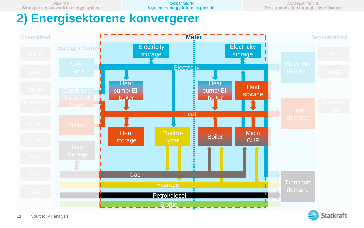*Global future:*  **A greener energy future is possible**

*Norwegian future:*  **De-carbonisation through electrification**

# **2) Energisektorene konvergerer**



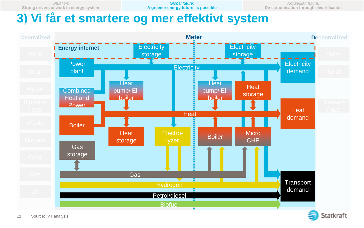*Global future:*  **A greener energy future is possible**

*Norwegian future:*  **De-carbonisation through electrification**

### **3) Vi får et smartere og mer effektivt system**

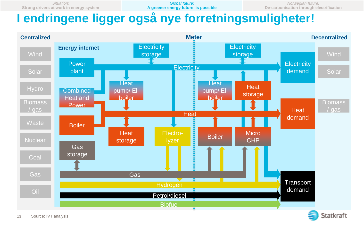*Global future:*  **A greener energy future is possible**

*Norwegian future:*  **De-carbonisation through electrification**

# **I endringene ligger også nye forretningsmuligheter!**

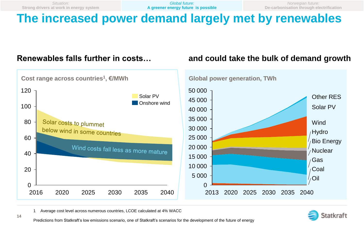*Norwegian future:*  **De-carbonisation through electrification**

# **The increased power demand largely met by renewables**

#### **Renewables falls further in costs… and could take the bulk of demand growth**



1 Average cost level across numerous countries, LCOE calculated at 4% WACC



Predictions from Statkraft's low emissions scenario, one of Statkraft's scenarios for the development of the future of energy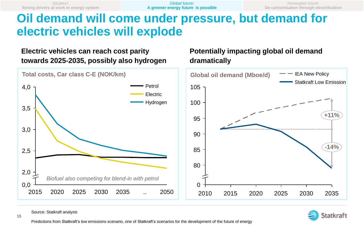**dramatically**

*Norwegian future:*  **De-carbonisation through electrification**

**Potentially impacting global oil demand** 

# **Oil demand will come under pressure, but demand for electric vehicles will explode**

#### **Electric vehicles can reach cost parity towards 2025-2035, possibly also hydrogen**



Source: Statkraft analysis



Predictions from Statkraft's low emissions scenario, one of Statkraft's scenarios for the development of the future of energy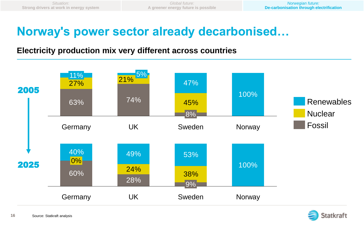# **Norway's power sector already decarbonised…**

#### **Electricity production mix very different across countries**



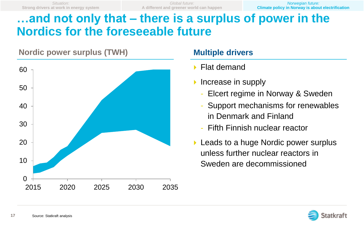*Norwegian future:*  **Climate policy in Norway is about electrification**

# **…and not only that – there is a surplus of power in the Nordics for the foreseeable future**



#### **Multiple drivers**

- ▶ Flat demand
- $\triangleright$  Increase in supply
	- Elcert regime in Norway & Sweden
	- Support mechanisms for renewables in Denmark and Finland
	- Fifth Finnish nuclear reactor
- **Leads to a huge Nordic power surplus** unless further nuclear reactors in Sweden are decommissioned

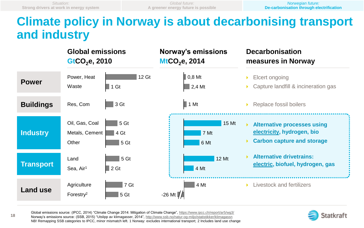**18**

## **Climate policy in Norway is about decarbonising transport and industry**



Global emissions source: (IPCC, 2014) "Climate Change 2014: Mitigation of Climate Change", <https://www.ipcc.ch/report/ar5/wg3/> Norway's emissions source: (SSB, 2015) "Utslipp av klimagasser, 2014", <http://www.ssb.no/natur-og-miljo/statistikker/klimagassn> NB! Remapping SSB categories to IPCC, minor mismatch left. 1 Norway: excludes international transport; 2 Includes land use change

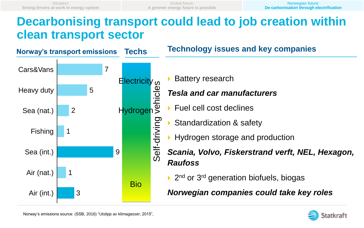#### **Decarbonising transport could lead to job creation within clean transport sector**



**Technology issues and key companies**

Battery research

#### *Tesla and car manufacturers*

- Fuel cell cost declines
- Standardization & safety
- Hydrogen storage and production
- *Scania, Volvo, Fiskerstrand verft, NEL, Hexagon, Raufoss*
	- ▶ 2<sup>nd</sup> or 3<sup>rd</sup> generation biofuels, biogas

*Norwegian companies could take key roles*

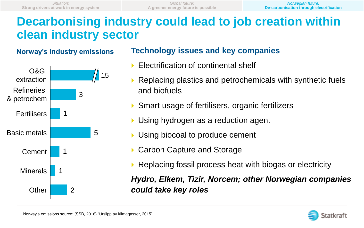### **Decarbonising industry could lead to job creation within clean industry sector**



#### **Technology issues and key companies**

- Electrification of continental shelf
- Replacing plastics and petrochemicals with synthetic fuels and biofuels
- Smart usage of fertilisers, organic fertilizers
- Using hydrogen as a reduction agent
- Using biocoal to produce cement
- Carbon Capture and Storage
- ▶ Replacing fossil process heat with biogas or electricity

*Hydro, Elkem, Tizir, Norcem; other Norwegian companies could take key roles*

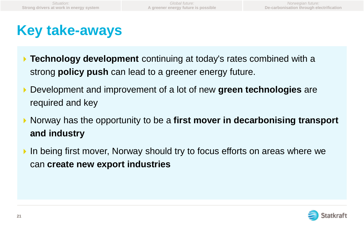# **Key take-aways**

- **Technology development** continuing at today's rates combined with a strong **policy push** can lead to a greener energy future.
- Development and improvement of a lot of new **green technologies** are required and key
- ▶ Norway has the opportunity to be a first mover in decarbonising transport **and industry**
- If In being first mover, Norway should try to focus efforts on areas where we can **create new export industries**